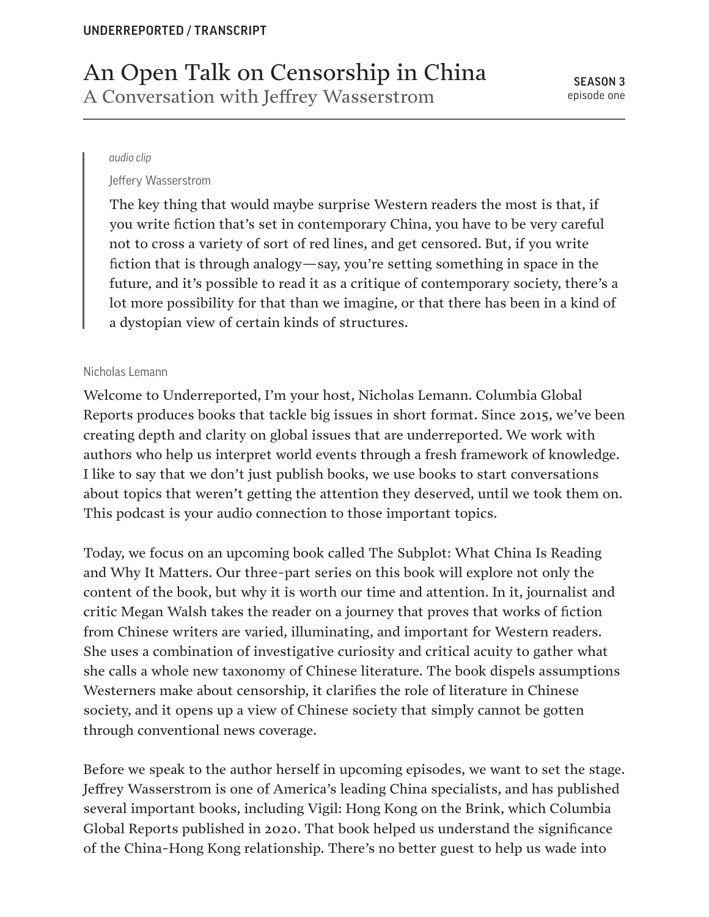# An Open Talk on Censorship in China A Conversation with Jeffrey Wasserstrom

#### *audio clip*

Jeffery Wasserstrom

The key thing that would maybe surprise Western readers the most is that, if you write fiction that's set in contemporary China, you have to be very careful not to cross a variety of sort of red lines, and get censored. But, if you write fiction that is through analogy—say, you're setting something in space in the future, and it's possible to read it as a critique of contemporary society, there's a lot more possibility for that than we imagine, or that there has been in a kind of a dystopian view of certain kinds of structures.

#### Nicholas Lemann

Welcome to Underreported, I'm your host, Nicholas Lemann. Columbia Global Reports produces books that tackle big issues in short format. Since 2015, we've been creating depth and clarity on global issues that are underreported. We work with authors who help us interpret world events through a fresh framework of knowledge. I like to say that we don't just publish books, we use books to start conversations about topics that weren't getting the attention they deserved, until we took them on. This podcast is your audio connection to those important topics.

Today, we focus on an upcoming book called The Subplot: What China Is Reading and Why It Matters. Our three-part series on this book will explore not only the content of the book, but why it is worth our time and attention. In it, journalist and critic Megan Walsh takes the reader on a journey that proves that works of fiction from Chinese writers are varied, illuminating, and important for Western readers. She uses a combination of investigative curiosity and critical acuity to gather what she calls a whole new taxonomy of Chinese literature. The book dispels assumptions Westerners make about censorship, it clarifies the role of literature in Chinese society, and it opens up a view of Chinese society that simply cannot be gotten through conventional news coverage.

Before we speak to the author herself in upcoming episodes, we want to set the stage. Jeffrey Wasserstrom is one of America's leading China specialists, and has published several important books, including Vigil: Hong Kong on the Brink, which Columbia Global Reports published in 2020. That book helped us understand the significance of the China-Hong Kong relationship. There's no better guest to help us wade into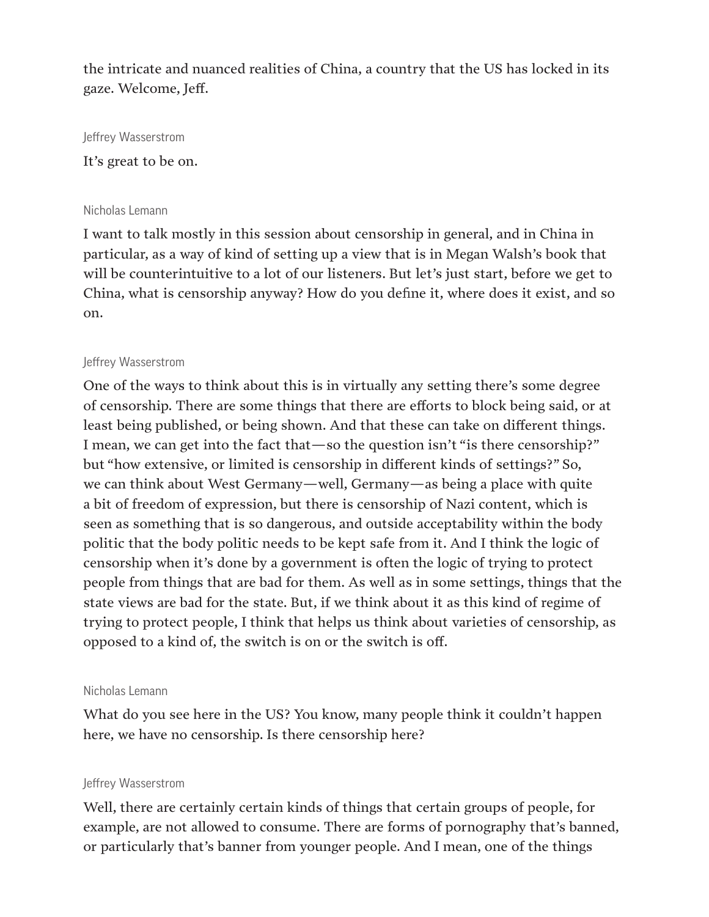the intricate and nuanced realities of China, a country that the US has locked in its gaze. Welcome, Jeff.

Jeffrey Wasserstrom

It's great to be on.

## Nicholas Lemann

I want to talk mostly in this session about censorship in general, and in China in particular, as a way of kind of setting up a view that is in Megan Walsh's book that will be counterintuitive to a lot of our listeners. But let's just start, before we get to China, what is censorship anyway? How do you define it, where does it exist, and so on.

## Jeffrey Wasserstrom

One of the ways to think about this is in virtually any setting there's some degree of censorship. There are some things that there are efforts to block being said, or at least being published, or being shown. And that these can take on different things. I mean, we can get into the fact that—so the question isn't "is there censorship?" but "how extensive, or limited is censorship in different kinds of settings?" So, we can think about West Germany—well, Germany—as being a place with quite a bit of freedom of expression, but there is censorship of Nazi content, which is seen as something that is so dangerous, and outside acceptability within the body politic that the body politic needs to be kept safe from it. And I think the logic of censorship when it's done by a government is often the logic of trying to protect people from things that are bad for them. As well as in some settings, things that the state views are bad for the state. But, if we think about it as this kind of regime of trying to protect people, I think that helps us think about varieties of censorship, as opposed to a kind of, the switch is on or the switch is off.

## Nicholas Lemann

What do you see here in the US? You know, many people think it couldn't happen here, we have no censorship. Is there censorship here?

## Jeffrey Wasserstrom

Well, there are certainly certain kinds of things that certain groups of people, for example, are not allowed to consume. There are forms of pornography that's banned, or particularly that's banner from younger people. And I mean, one of the things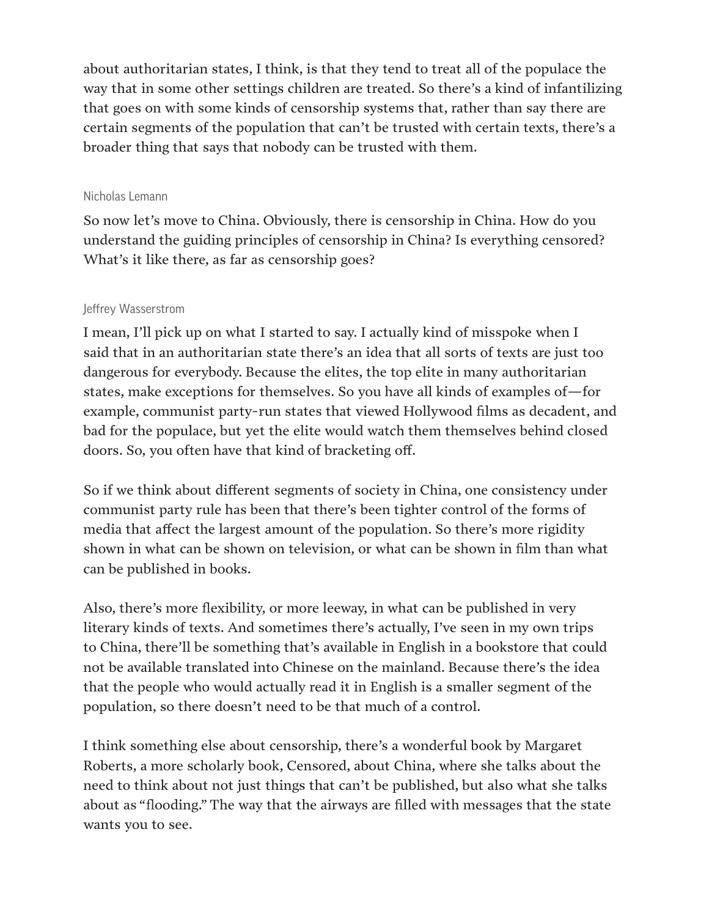about authoritarian states, I think, is that they tend to treat all of the populace the way that in some other settings children are treated. So there's a kind of infantilizing that goes on with some kinds of censorship systems that, rather than say there are certain segments of the population that can't be trusted with certain texts, there's a broader thing that says that nobody can be trusted with them.

## Nicholas Lemann

So now let's move to China. Obviously, there is censorship in China. How do you understand the guiding principles of censorship in China? Is everything censored? What's it like there, as far as censorship goes?

## Jeffrey Wasserstrom

I mean, I'll pick up on what I started to say. I actually kind of misspoke when I said that in an authoritarian state there's an idea that all sorts of texts are just too dangerous for everybody. Because the elites, the top elite in many authoritarian states, make exceptions for themselves. So you have all kinds of examples of—for example, communist party-run states that viewed Hollywood films as decadent, and bad for the populace, but yet the elite would watch them themselves behind closed doors. So, you often have that kind of bracketing off.

So if we think about different segments of society in China, one consistency under communist party rule has been that there's been tighter control of the forms of media that affect the largest amount of the population. So there's more rigidity shown in what can be shown on television, or what can be shown in film than what can be published in books.

Also, there's more flexibility, or more leeway, in what can be published in very literary kinds of texts. And sometimes there's actually, I've seen in my own trips to China, there'll be something that's available in English in a bookstore that could not be available translated into Chinese on the mainland. Because there's the idea that the people who would actually read it in English is a smaller segment of the population, so there doesn't need to be that much of a control.

I think something else about censorship, there's a wonderful book by Margaret Roberts, a more scholarly book, Censored, about China, where she talks about the need to think about not just things that can't be published, but also what she talks about as "flooding." The way that the airways are filled with messages that the state wants you to see.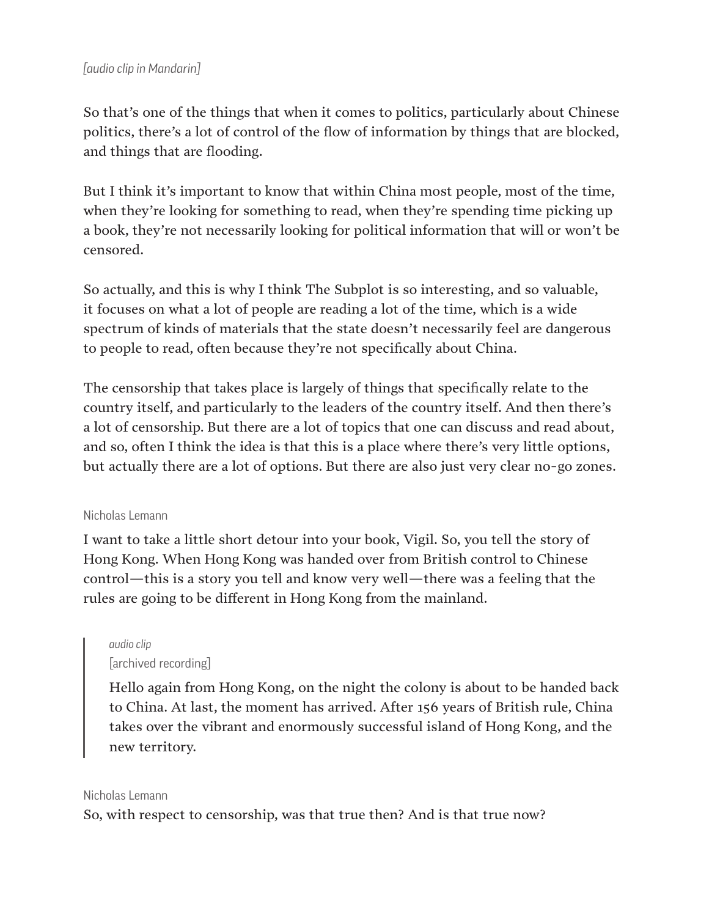## *[audio clip in Mandarin]*

So that's one of the things that when it comes to politics, particularly about Chinese politics, there's a lot of control of the flow of information by things that are blocked, and things that are flooding.

But I think it's important to know that within China most people, most of the time, when they're looking for something to read, when they're spending time picking up a book, they're not necessarily looking for political information that will or won't be censored.

So actually, and this is why I think The Subplot is so interesting, and so valuable, it focuses on what a lot of people are reading a lot of the time, which is a wide spectrum of kinds of materials that the state doesn't necessarily feel are dangerous to people to read, often because they're not specifically about China.

The censorship that takes place is largely of things that specifically relate to the country itself, and particularly to the leaders of the country itself. And then there's a lot of censorship. But there are a lot of topics that one can discuss and read about, and so, often I think the idea is that this is a place where there's very little options, but actually there are a lot of options. But there are also just very clear no-go zones.

#### Nicholas Lemann

I want to take a little short detour into your book, Vigil. So, you tell the story of Hong Kong. When Hong Kong was handed over from British control to Chinese control—this is a story you tell and know very well—there was a feeling that the rules are going to be different in Hong Kong from the mainland.

## *audio clip* [archived recording]

Hello again from Hong Kong, on the night the colony is about to be handed back to China. At last, the moment has arrived. After 156 years of British rule, China takes over the vibrant and enormously successful island of Hong Kong, and the new territory.

#### Nicholas Lemann

So, with respect to censorship, was that true then? And is that true now?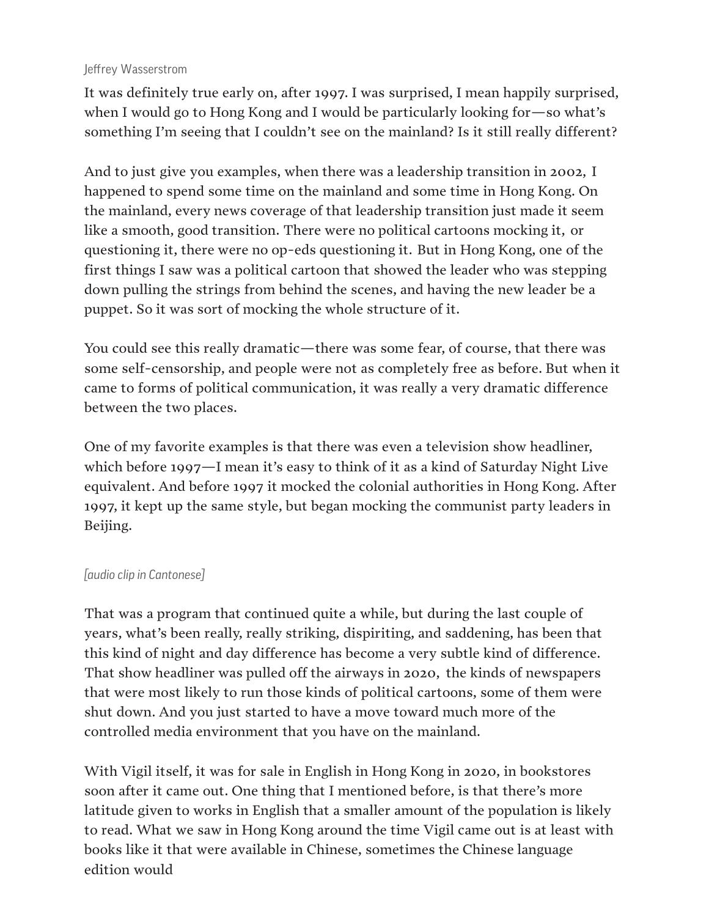## Jeffrey Wasserstrom

It was definitely true early on, after 1997. I was surprised, I mean happily surprised, when I would go to Hong Kong and I would be particularly looking for—so what's something I'm seeing that I couldn't see on the mainland? Is it still really different?

And to just give you examples, when there was a leadership transition in 2002, I happened to spend some time on the mainland and some time in Hong Kong. On the mainland, every news coverage of that leadership transition just made it seem like a smooth, good transition. There were no political cartoons mocking it, or questioning it, there were no op-eds questioning it. But in Hong Kong, one of the first things I saw was a political cartoon that showed the leader who was stepping down pulling the strings from behind the scenes, and having the new leader be a puppet. So it was sort of mocking the whole structure of it.

You could see this really dramatic—there was some fear, of course, that there was some self-censorship, and people were not as completely free as before. But when it came to forms of political communication, it was really a very dramatic difference between the two places.

One of my favorite examples is that there was even a television show headliner, which before 1997—I mean it's easy to think of it as a kind of Saturday Night Live equivalent. And before 1997 it mocked the colonial authorities in Hong Kong. After 1997, it kept up the same style, but began mocking the communist party leaders in Beijing.

## *[audio clip in Cantonese]*

That was a program that continued quite a while, but during the last couple of years, what's been really, really striking, dispiriting, and saddening, has been that this kind of night and day difference has become a very subtle kind of difference. That show headliner was pulled off the airways in 2020, the kinds of newspapers that were most likely to run those kinds of political cartoons, some of them were shut down. And you just started to have a move toward much more of the controlled media environment that you have on the mainland.

With Vigil itself, it was for sale in English in Hong Kong in 2020, in bookstores soon after it came out. One thing that I mentioned before, is that there's more latitude given to works in English that a smaller amount of the population is likely to read. What we saw in Hong Kong around the time Vigil came out is at least with books like it that were available in Chinese, sometimes the Chinese language edition would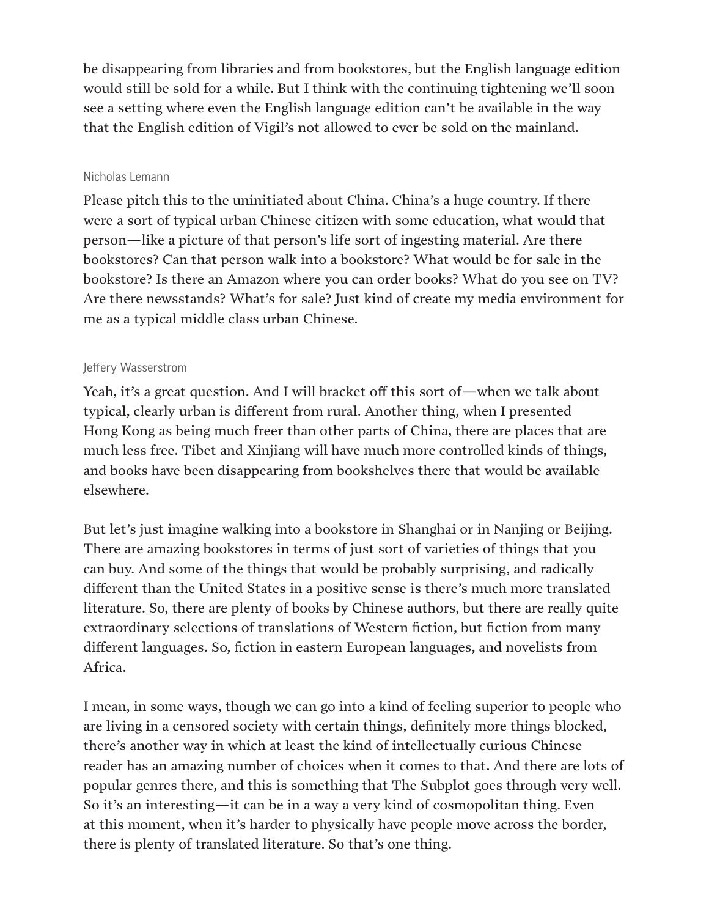be disappearing from libraries and from bookstores, but the English language edition would still be sold for a while. But I think with the continuing tightening we'll soon see a setting where even the English language edition can't be available in the way that the English edition of Vigil's not allowed to ever be sold on the mainland.

#### Nicholas Lemann

Please pitch this to the uninitiated about China. China's a huge country. If there were a sort of typical urban Chinese citizen with some education, what would that person—like a picture of that person's life sort of ingesting material. Are there bookstores? Can that person walk into a bookstore? What would be for sale in the bookstore? Is there an Amazon where you can order books? What do you see on TV? Are there newsstands? What's for sale? Just kind of create my media environment for me as a typical middle class urban Chinese.

## Jeffery Wasserstrom

Yeah, it's a great question. And I will bracket off this sort of—when we talk about typical, clearly urban is different from rural. Another thing, when I presented Hong Kong as being much freer than other parts of China, there are places that are much less free. Tibet and Xinjiang will have much more controlled kinds of things, and books have been disappearing from bookshelves there that would be available elsewhere.

But let's just imagine walking into a bookstore in Shanghai or in Nanjing or Beijing. There are amazing bookstores in terms of just sort of varieties of things that you can buy. And some of the things that would be probably surprising, and radically different than the United States in a positive sense is there's much more translated literature. So, there are plenty of books by Chinese authors, but there are really quite extraordinary selections of translations of Western fiction, but fiction from many different languages. So, fiction in eastern European languages, and novelists from Africa.

I mean, in some ways, though we can go into a kind of feeling superior to people who are living in a censored society with certain things, definitely more things blocked, there's another way in which at least the kind of intellectually curious Chinese reader has an amazing number of choices when it comes to that. And there are lots of popular genres there, and this is something that The Subplot goes through very well. So it's an interesting—it can be in a way a very kind of cosmopolitan thing. Even at this moment, when it's harder to physically have people move across the border, there is plenty of translated literature. So that's one thing.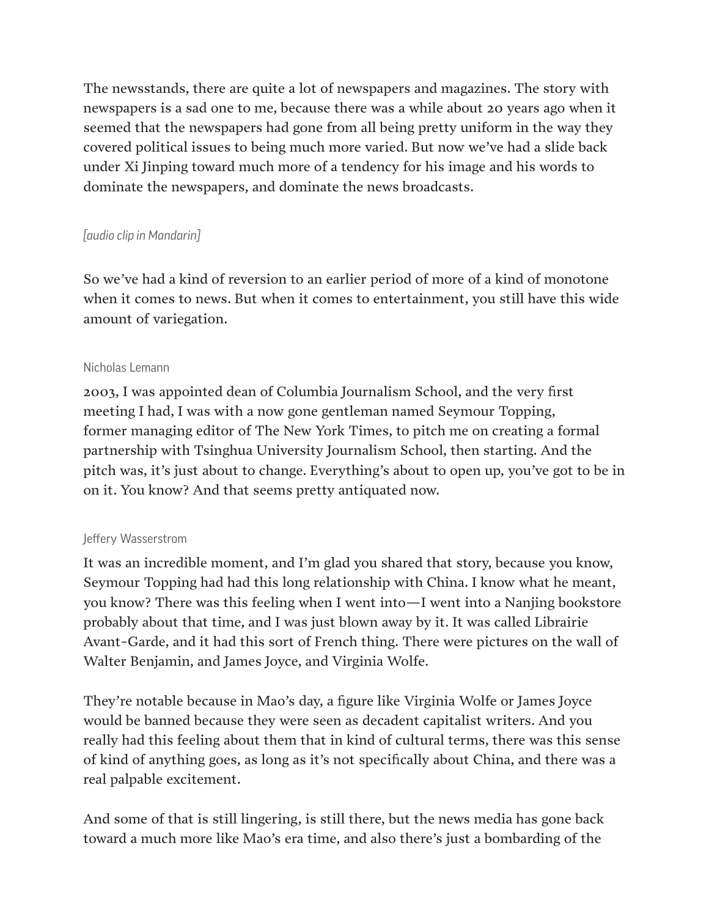The newsstands, there are quite a lot of newspapers and magazines. The story with newspapers is a sad one to me, because there was a while about 20 years ago when it seemed that the newspapers had gone from all being pretty uniform in the way they covered political issues to being much more varied. But now we've had a slide back under Xi Jinping toward much more of a tendency for his image and his words to dominate the newspapers, and dominate the news broadcasts.

# *[audio clip in Mandarin]*

So we've had a kind of reversion to an earlier period of more of a kind of monotone when it comes to news. But when it comes to entertainment, you still have this wide amount of variegation.

## Nicholas Lemann

2003, I was appointed dean of Columbia Journalism School, and the very first meeting I had, I was with a now gone gentleman named Seymour Topping, former managing editor of The New York Times, to pitch me on creating a formal partnership with Tsinghua University Journalism School, then starting. And the pitch was, it's just about to change. Everything's about to open up, you've got to be in on it. You know? And that seems pretty antiquated now.

## Jeffery Wasserstrom

It was an incredible moment, and I'm glad you shared that story, because you know, Seymour Topping had had this long relationship with China. I know what he meant, you know? There was this feeling when I went into—I went into a Nanjing bookstore probably about that time, and I was just blown away by it. It was called Librairie Avant-Garde, and it had this sort of French thing. There were pictures on the wall of Walter Benjamin, and James Joyce, and Virginia Wolfe.

They're notable because in Mao's day, a figure like Virginia Wolfe or James Joyce would be banned because they were seen as decadent capitalist writers. And you really had this feeling about them that in kind of cultural terms, there was this sense of kind of anything goes, as long as it's not specifically about China, and there was a real palpable excitement.

And some of that is still lingering, is still there, but the news media has gone back toward a much more like Mao's era time, and also there's just a bombarding of the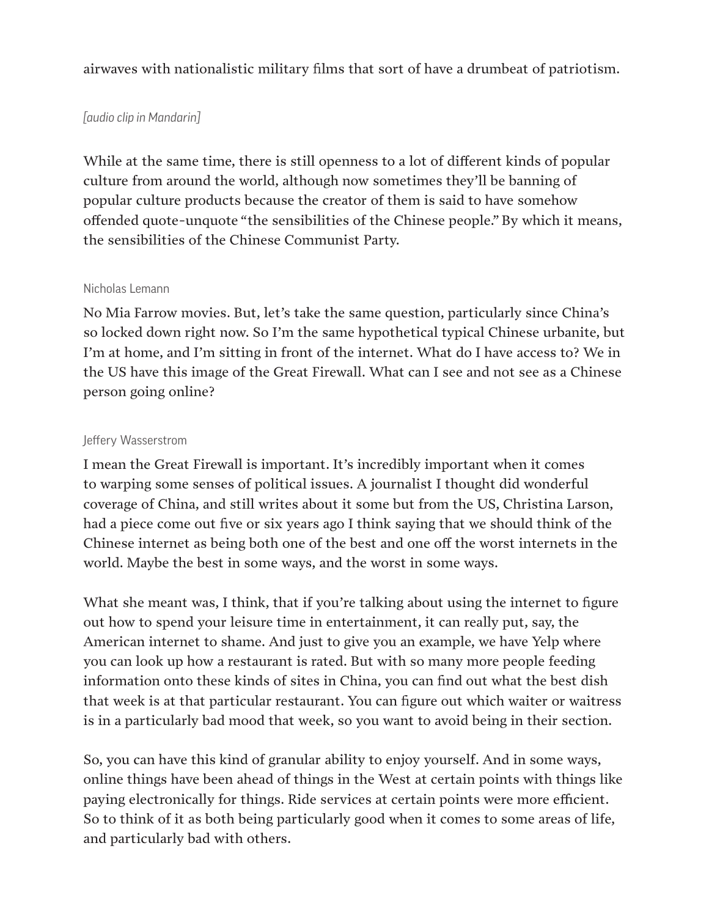airwaves with nationalistic military films that sort of have a drumbeat of patriotism.

## *[audio clip in Mandarin]*

While at the same time, there is still openness to a lot of different kinds of popular culture from around the world, although now sometimes they'll be banning of popular culture products because the creator of them is said to have somehow offended quote-unquote "the sensibilities of the Chinese people." By which it means, the sensibilities of the Chinese Communist Party.

## Nicholas Lemann

No Mia Farrow movies. But, let's take the same question, particularly since China's so locked down right now. So I'm the same hypothetical typical Chinese urbanite, but I'm at home, and I'm sitting in front of the internet. What do I have access to? We in the US have this image of the Great Firewall. What can I see and not see as a Chinese person going online?

## Jeffery Wasserstrom

I mean the Great Firewall is important. It's incredibly important when it comes to warping some senses of political issues. A journalist I thought did wonderful coverage of China, and still writes about it some but from the US, Christina Larson, had a piece come out five or six years ago I think saying that we should think of the Chinese internet as being both one of the best and one off the worst internets in the world. Maybe the best in some ways, and the worst in some ways.

What she meant was, I think, that if you're talking about using the internet to figure out how to spend your leisure time in entertainment, it can really put, say, the American internet to shame. And just to give you an example, we have Yelp where you can look up how a restaurant is rated. But with so many more people feeding information onto these kinds of sites in China, you can find out what the best dish that week is at that particular restaurant. You can figure out which waiter or waitress is in a particularly bad mood that week, so you want to avoid being in their section.

So, you can have this kind of granular ability to enjoy yourself. And in some ways, online things have been ahead of things in the West at certain points with things like paying electronically for things. Ride services at certain points were more efficient. So to think of it as both being particularly good when it comes to some areas of life, and particularly bad with others.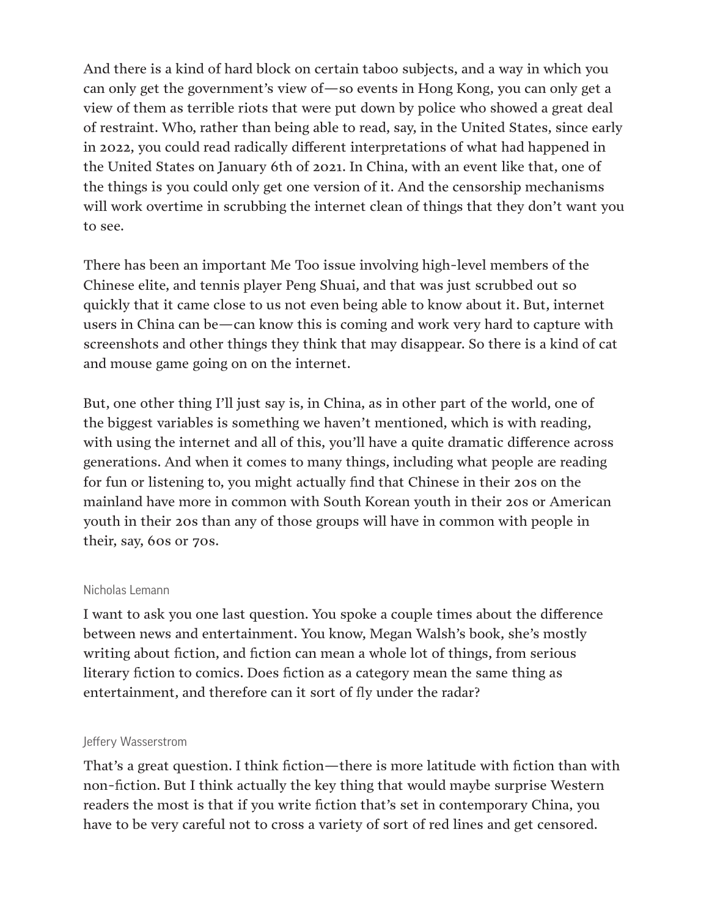And there is a kind of hard block on certain taboo subjects, and a way in which you can only get the government's view of—so events in Hong Kong, you can only get a view of them as terrible riots that were put down by police who showed a great deal of restraint. Who, rather than being able to read, say, in the United States, since early in 2022, you could read radically different interpretations of what had happened in the United States on January 6th of 2021. In China, with an event like that, one of the things is you could only get one version of it. And the censorship mechanisms will work overtime in scrubbing the internet clean of things that they don't want you to see.

There has been an important Me Too issue involving high-level members of the Chinese elite, and tennis player Peng Shuai, and that was just scrubbed out so quickly that it came close to us not even being able to know about it. But, internet users in China can be—can know this is coming and work very hard to capture with screenshots and other things they think that may disappear. So there is a kind of cat and mouse game going on on the internet.

But, one other thing I'll just say is, in China, as in other part of the world, one of the biggest variables is something we haven't mentioned, which is with reading, with using the internet and all of this, you'll have a quite dramatic difference across generations. And when it comes to many things, including what people are reading for fun or listening to, you might actually find that Chinese in their 20s on the mainland have more in common with South Korean youth in their 20s or American youth in their 20s than any of those groups will have in common with people in their, say, 60s or 70s.

#### Nicholas Lemann

I want to ask you one last question. You spoke a couple times about the difference between news and entertainment. You know, Megan Walsh's book, she's mostly writing about fiction, and fiction can mean a whole lot of things, from serious literary fiction to comics. Does fiction as a category mean the same thing as entertainment, and therefore can it sort of fly under the radar?

#### Jeffery Wasserstrom

That's a great question. I think fiction—there is more latitude with fiction than with non-fiction. But I think actually the key thing that would maybe surprise Western readers the most is that if you write fiction that's set in contemporary China, you have to be very careful not to cross a variety of sort of red lines and get censored.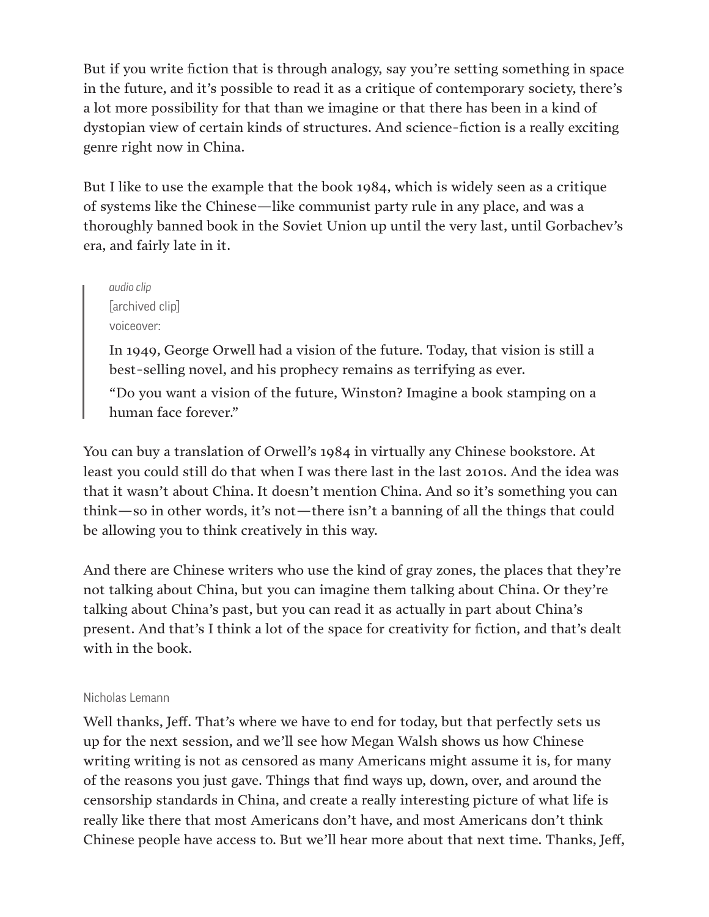But if you write fiction that is through analogy, say you're setting something in space in the future, and it's possible to read it as a critique of contemporary society, there's a lot more possibility for that than we imagine or that there has been in a kind of dystopian view of certain kinds of structures. And science-fiction is a really exciting genre right now in China.

But I like to use the example that the book 1984, which is widely seen as a critique of systems like the Chinese—like communist party rule in any place, and was a thoroughly banned book in the Soviet Union up until the very last, until Gorbachev's era, and fairly late in it.

*audio clip* [archived clip] voiceover:

In 1949, George Orwell had a vision of the future. Today, that vision is still a best-selling novel, and his prophecy remains as terrifying as ever.

"Do you want a vision of the future, Winston? Imagine a book stamping on a human face forever."

You can buy a translation of Orwell's 1984 in virtually any Chinese bookstore. At least you could still do that when I was there last in the last 2010s. And the idea was that it wasn't about China. It doesn't mention China. And so it's something you can think—so in other words, it's not—there isn't a banning of all the things that could be allowing you to think creatively in this way.

And there are Chinese writers who use the kind of gray zones, the places that they're not talking about China, but you can imagine them talking about China. Or they're talking about China's past, but you can read it as actually in part about China's present. And that's I think a lot of the space for creativity for fiction, and that's dealt with in the book.

## Nicholas Lemann

Well thanks, Jeff. That's where we have to end for today, but that perfectly sets us up for the next session, and we'll see how Megan Walsh shows us how Chinese writing writing is not as censored as many Americans might assume it is, for many of the reasons you just gave. Things that find ways up, down, over, and around the censorship standards in China, and create a really interesting picture of what life is really like there that most Americans don't have, and most Americans don't think Chinese people have access to. But we'll hear more about that next time. Thanks, Jeff,